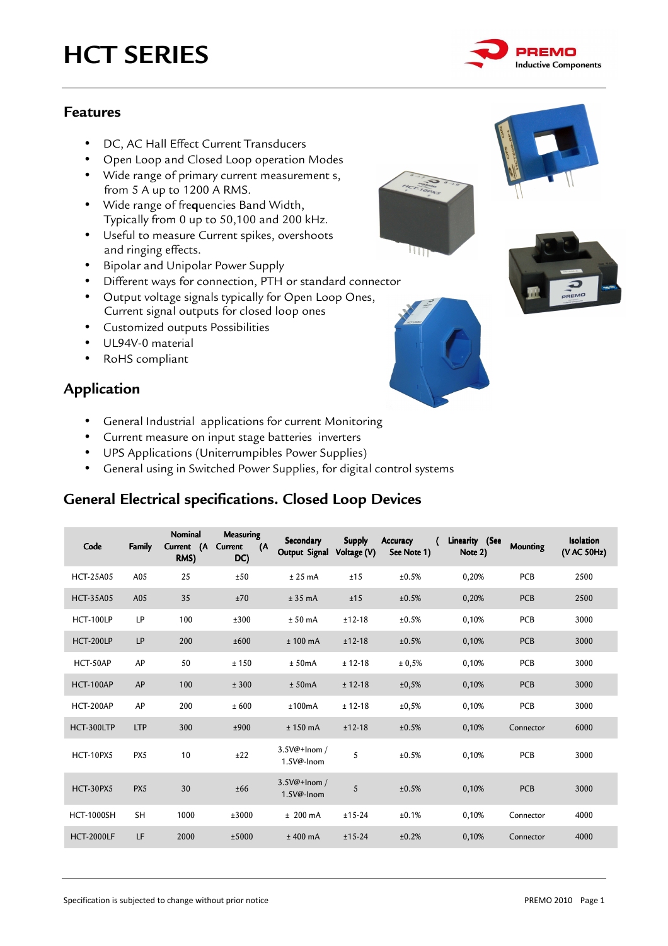

### **Features**

- DC, AC Hall Effect Current Transducers
- Open Loop and Closed Loop operation Modes
- Wide range of primary current measurement s, from 5 A up to 1200 A RMS.
- Wide range of fre**q**uencies Band Width, Typically from 0 up to 50,100 and 200 kHz.
- Useful to measure Current spikes, overshoots and ringing effects.
- Bipolar and Unipolar Power Supply
- Different ways for connection, PTH or standard connector
- Output voltage signals typically for Open Loop Ones, Current signal outputs for closed loop ones
- Customized outputs Possibilities
- UL94V-0 material
- RoHS compliant

### **Application**

- General Industrial applications for current Monitoring
- Current measure on input stage batteries inverters
- UPS Applications (Uniterrumpibles Power Supplies)
- General using in Switched Power Supplies, for digital control systems

### **General Electrical specifications. Closed Loop Devices**

| Code              | Family     | Nominal<br>(A)<br>Current<br>RMS) | <b>Measuring</b><br>Current<br>(A<br>DC) | Secondary<br>Output Signal    | <b>Supply</b><br>Voltage (V) | <b>Accuracy</b><br>See Note 1) | Linearity (See<br>Note 2) | <b>Mounting</b> | Isolation<br>(V AC 50Hz) |
|-------------------|------------|-----------------------------------|------------------------------------------|-------------------------------|------------------------------|--------------------------------|---------------------------|-----------------|--------------------------|
| <b>HCT-25A05</b>  | A05        | 25                                | ±50                                      | $± 25$ mA                     | ±15                          | ±0.5%                          | 0,20%                     | <b>PCB</b>      | 2500                     |
| <b>HCT-35A05</b>  | A05        | 35                                | ±70                                      | $± 35$ mA                     | ±15                          | ±0.5%                          | 0,20%                     | <b>PCB</b>      | 2500                     |
| <b>HCT-100LP</b>  | LP         | 100                               | ±300                                     | $± 50$ mA                     | $±12-18$                     | ±0.5%                          | 0,10%                     | <b>PCB</b>      | 3000                     |
| <b>HCT-200LP</b>  | LP         | 200                               | ±600                                     | $± 100$ mA                    | $±12-18$                     | ±0.5%                          | 0,10%                     | <b>PCB</b>      | 3000                     |
| HCT-50AP          | AP         | 50                                | ± 150                                    | ± 50mA                        | $± 12-18$                    | ± 0,5%                         | 0,10%                     | <b>PCB</b>      | 3000                     |
| <b>HCT-100AP</b>  | AP         | 100                               | ± 300                                    | ± 50mA                        | $± 12-18$                    | ±0,5%                          | 0,10%                     | <b>PCB</b>      | 3000                     |
| HCT-200AP         | AP         | 200                               | ± 600                                    | ±100mA                        | $± 12-18$                    | ±0,5%                          | 0,10%                     | PCB             | 3000                     |
| HCT-300LTP        | <b>LTP</b> | 300                               | ±900                                     | $± 150$ mA                    | $±12-18$                     | ±0.5%                          | 0,10%                     | Connector       | 6000                     |
| HCT-10PX5         | PX5        | 10                                | ±22                                      | $3.5V@+Inom/$<br>$1.5V@-Inom$ | 5                            | ±0.5%                          | 0,10%                     | PCB             | 3000                     |
| HCT-30PX5         | PX5        | 30                                | ±66                                      | 3.5V@+Inom /<br>1.5V@-Inom    | 5                            | ±0.5%                          | 0,10%                     | <b>PCB</b>      | 3000                     |
| <b>HCT-1000SH</b> | <b>SH</b>  | 1000                              | ±3000                                    | $± 200$ mA                    | $±15-24$                     | ±0.1%                          | 0,10%                     | Connector       | 4000                     |
| <b>HCT-2000LF</b> | LF         | 2000                              | ±5000                                    | $±$ 400 mA                    | $±15-24$                     | ±0.2%                          | 0,10%                     | Connector       | 4000                     |



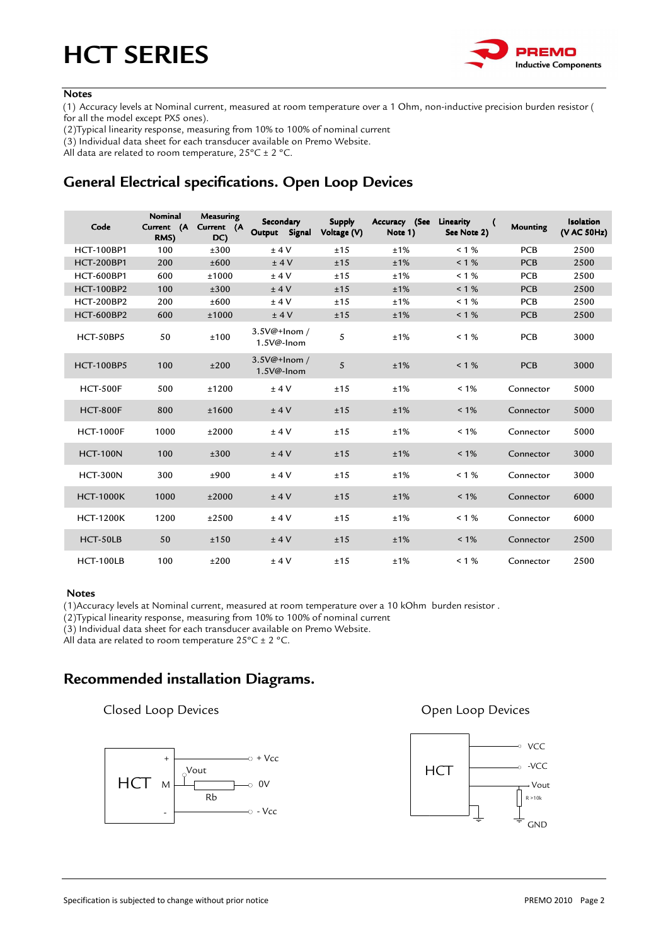

#### **Notes**

(1) Accuracy levels at Nominal current, measured at room temperature over a 1 Ohm, non-inductive precision burden resistor ( for all the model except PX5 ones).

(2)Typical linearity response, measuring from 10% to 100% of nominal current

(3) Individual data sheet for each transducer available on Premo Website.

All data are related to room temperature,  $25^{\circ}$ C ± 2 °C.

## **General Electrical specifications. Open Loop Devices**

| Code              | <b>Nominal</b><br>Current (A<br>RMS) | Measuring<br>Current (A<br>DC) | Secondary<br>Output<br>Signal | <b>Supply</b><br>Voltage (V) | Accuracy (See<br>Note 1) | Linearity<br>See Note 2) | Mounting   | <b>Isolation</b><br>(V AC 50Hz) |
|-------------------|--------------------------------------|--------------------------------|-------------------------------|------------------------------|--------------------------|--------------------------|------------|---------------------------------|
| <b>HCT-100BP1</b> | 100                                  | ±300                           | ±4V                           | ±15                          | ±1%                      | $< 1 \%$                 | <b>PCB</b> | 2500                            |
| <b>HCT-200BP1</b> | 200                                  | ±600                           | ±4V                           | ±15                          | ±1%                      | $< 1 \%$                 | <b>PCB</b> | 2500                            |
| <b>HCT-600BP1</b> | 600                                  | ±1000                          | ±4V                           | ±15                          | ±1%                      | $< 1 \%$                 | <b>PCB</b> | 2500                            |
| <b>HCT-100BP2</b> | 100                                  | ±300                           | ±4V                           | ±15                          | ±1%                      | $< 1 \%$                 | <b>PCB</b> | 2500                            |
| <b>HCT-200BP2</b> | 200                                  | ±600                           | ±4V                           | ±15                          | ±1%                      | $< 1 \%$                 | <b>PCB</b> | 2500                            |
| <b>HCT-600BP2</b> | 600                                  | ±1000                          | ±4V                           | ±15                          | ±1%                      | $< 1 \%$                 | <b>PCB</b> | 2500                            |
| HCT-50BP5         | 50                                   | ±100                           | $3.5V@+Inom/$<br>1.5V@-Inom   | 5                            | ±1%                      | $< 1 \%$                 | <b>PCB</b> | 3000                            |
| <b>HCT-100BP5</b> | 100                                  | ±200                           | 3.5V@+Inom /<br>$1.5V@-Inom$  | 5                            | ±1%                      | $< 1 \%$                 | <b>PCB</b> | 3000                            |
| <b>HCT-500F</b>   | 500                                  | ±1200                          | ±4V                           | ±15                          | ±1%                      | $< 1\%$                  | Connector  | 5000                            |
| <b>HCT-800F</b>   | 800                                  | ±1600                          | ±4V                           | ±15                          | ±1%                      | $< 1\%$                  | Connector  | 5000                            |
| <b>HCT-1000F</b>  | 1000                                 | ±2000                          | ±4V                           | ±15                          | ±1%                      | $< 1\%$                  | Connector  | 5000                            |
| <b>HCT-100N</b>   | 100                                  | ±300                           | ±4V                           | ±15                          | ±1%                      | $< 1\%$                  | Connector  | 3000                            |
| <b>HCT-300N</b>   | 300                                  | ±900                           | ±4V                           | ±15                          | ±1%                      | $< 1 \%$                 | Connector  | 3000                            |
| <b>HCT-1000K</b>  | 1000                                 | ±2000                          | ±4V                           | ±15                          | ±1%                      | $< 1\%$                  | Connector  | 6000                            |
| <b>HCT-1200K</b>  | 1200                                 | ±2500                          | ±4V                           | ±15                          | ±1%                      | $< 1\%$                  | Connector  | 6000                            |
| HCT-50LB          | 50                                   | ±150                           | ±4V                           | ±15                          | ±1%                      | $< 1\%$                  | Connector  | 2500                            |
| <b>HCT-100LB</b>  | 100                                  | ±200                           | ±4V                           | ±15                          | ±1%                      | $< 1\%$                  | Connector  | 2500                            |

#### **Notes**

(1)Accuracy levels at Nominal current, measured at room temperature over a 10 kOhm burden resistor .

(2)Typical linearity response, measuring from 10% to 100% of nominal current

(3) Individual data sheet for each transducer available on Premo Website.

All data are related to room temperature  $25^{\circ}$ C ± 2 °C.

### **Recommended installation Diagrams.**

#### **Closed Loop Devices Closed Loop Devices**



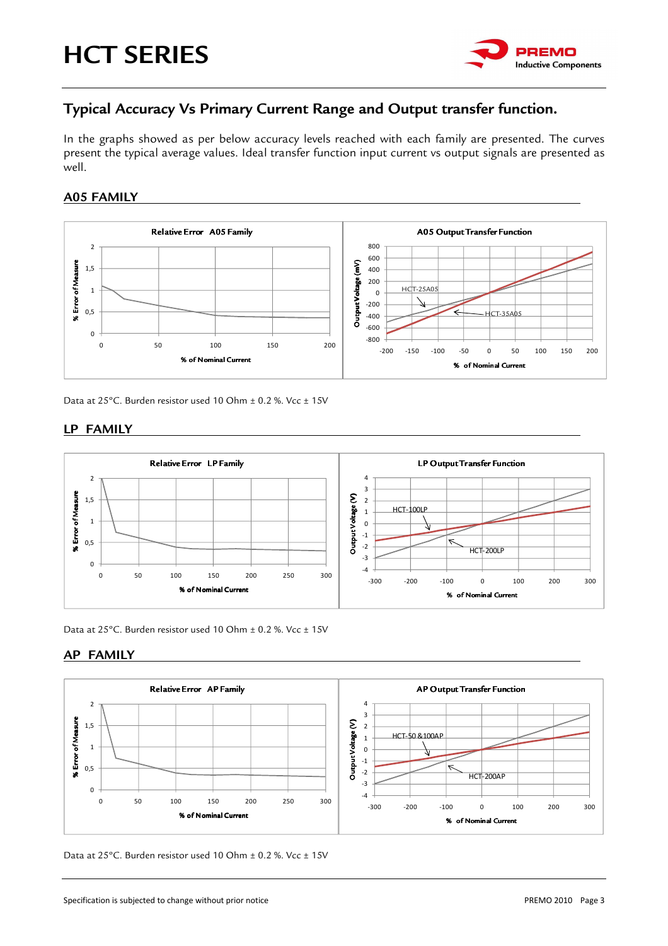

### **Typical Accuracy Vs Primary Current Range and Output transfer function.**

In the graphs showed as per below accuracy levels reached with each family are presented. The curves present the typical average values. Ideal transfer function input current vs output signals are presented as well.

#### **A05 FAMILY**



Data at 25°C. Burden resistor used 10 Ohm ± 0.2 %. Vcc ± 15V

#### **LP FAMILY**



Data at 25°C. Burden resistor used 10 Ohm ± 0.2 %. Vcc ± 15V

#### **AP FAMILY**



Data at 25°C. Burden resistor used 10 Ohm  $\pm$  0.2 %. Vcc  $\pm$  15V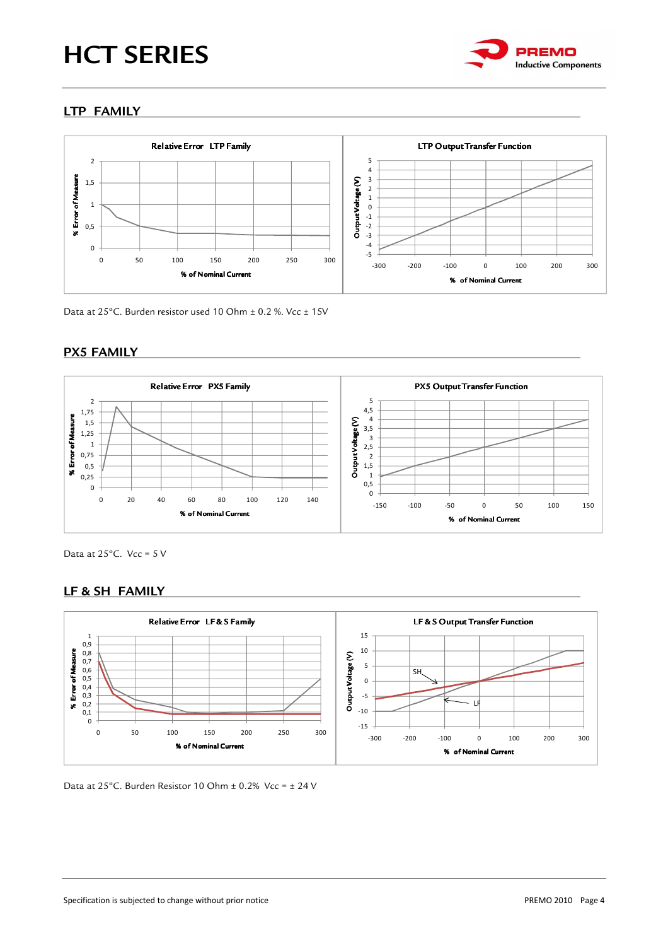

### **LTP FAMILY**



Data at 25°C. Burden resistor used 10 Ohm ± 0.2 %. Vcc ± 15V

#### **PX5 FAMILY**



Data at  $25^{\circ}$ C. Vcc =  $5$  V

#### **LF & SH FAMILY**



Data at 25ºC. Burden Resistor 10 Ohm ± 0.2% Vcc = ± 24 V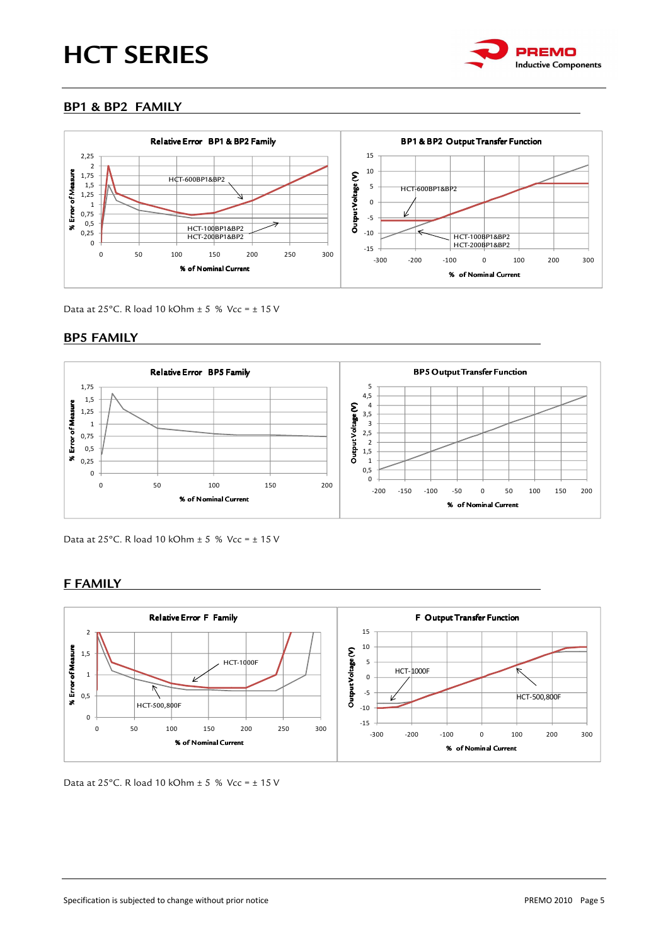

#### **BP1 & BP2 FAMILY**



Data at 25°C. R load 10 kOhm  $\pm$  5 % Vcc =  $\pm$  15 V

#### **BP5 FAMILY**



Data at 25°C. R load 10 kOhm  $\pm$  5 % Vcc =  $\pm$  15 V

#### **F FAMILY**



Data at  $25^{\circ}$ C. R load 10 kOhm + 5 % Vcc = + 15 V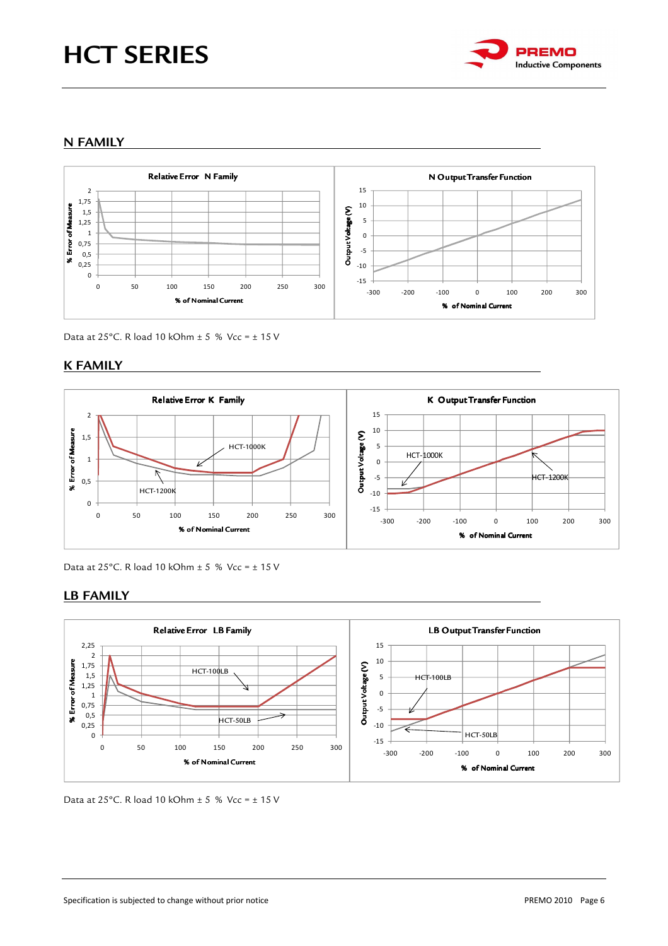

#### **N FAMILY**



Data at 25°C. R load 10 kOhm  $\pm$  5 % Vcc =  $\pm$  15 V

#### **K FAMILY**



Data at 25°C. R load 10 kOhm  $\pm$  5 % Vcc =  $\pm$  15 V

#### **LB FAMILY**



Data at 25°C. R load 10 kOhm  $\pm$  5 % Vcc =  $\pm$  15 V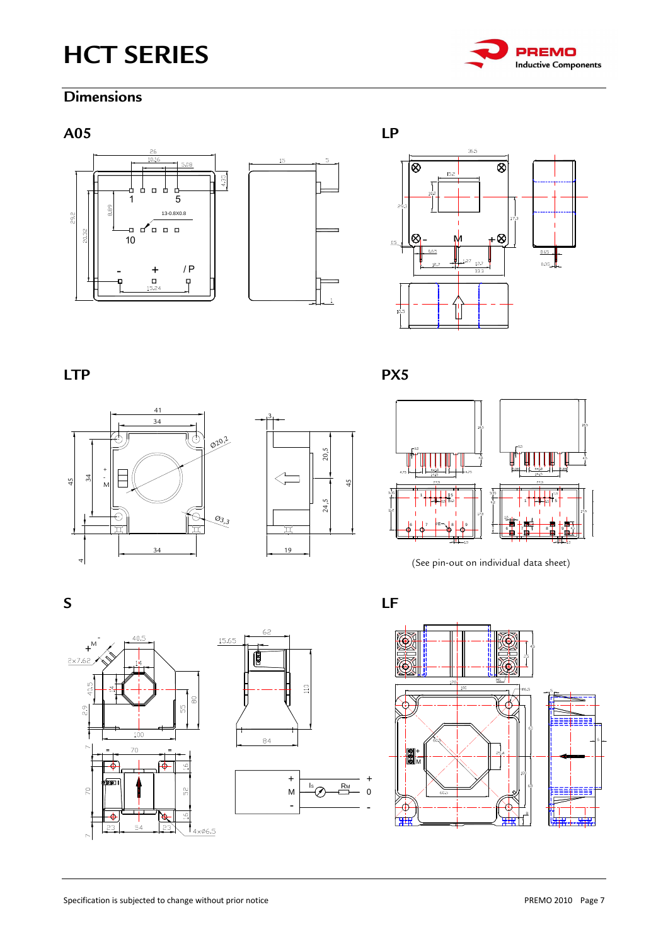

### **Dimensions**







LTP PX5







(See pin-out on individual data sheet)







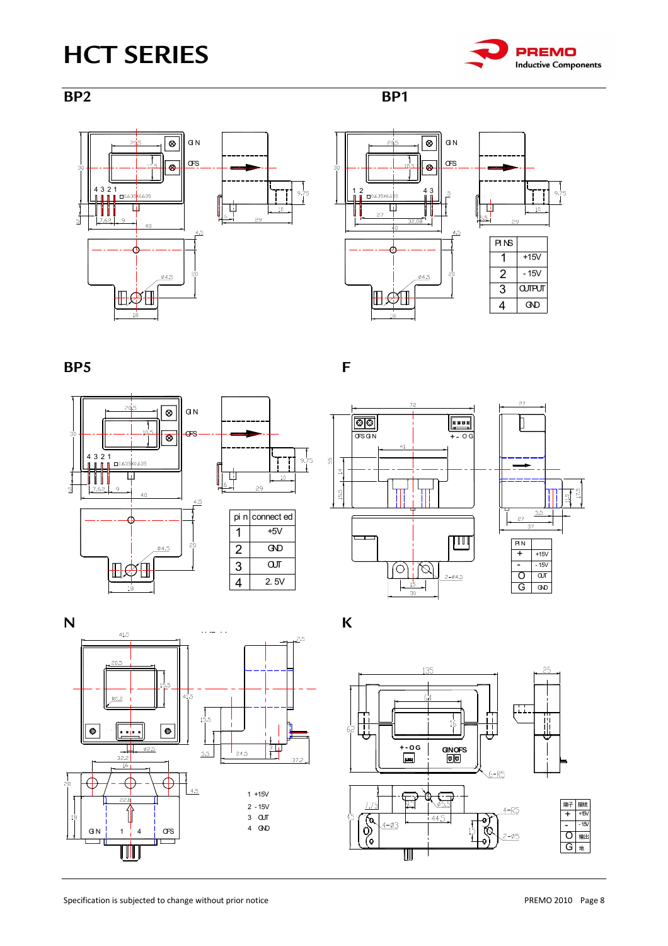







**BP5** F